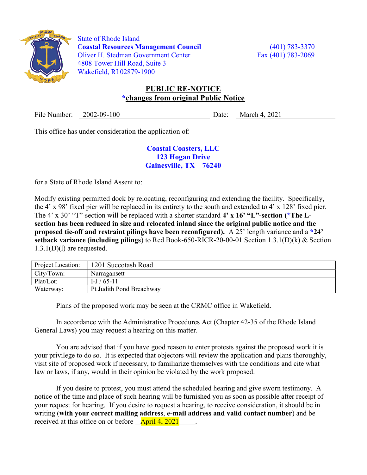

 State of Rhode Island Coastal Resources Management Council (401) 783-3370 Oliver H. Stedman Government Center Fax (401) 783-2069 4808 Tower Hill Road, Suite 3 Wakefield, RI 02879-1900

## PUBLIC RE-NOTICE \*changes from original Public Notice

File Number: 2002-09-100 Date: March 4, 2021

This office has under consideration the application of:

## Coastal Coasters, LLC 123 Hogan Drive Gainesville, TX 76240

for a State of Rhode Island Assent to:

Modify existing permitted dock by relocating, reconfiguring and extending the facility. Specifically, the 4' x 98' fixed pier will be replaced in its entirety to the south and extended to 4' x 128' fixed pier. The 4' x 30' "T"-section will be replaced with a shorter standard 4' x 16' "L"-section (\*The Lsection has been reduced in size and relocated inland since the original public notice and the proposed tie-off and restraint pilings have been reconfigured). A 25' length variance and a  $*24'$ setback variance (including pilings) to Red Book-650-RICR-20-00-01 Section 1.3.1(D)(k) & Section  $1.3.1(D)(1)$  are requested.

| Project Location: | 1201 Succotash Road      |
|-------------------|--------------------------|
| City/Town:        | Narragansett             |
| Plat/Lot:         | $I-J/65-11$              |
| Waterway:         | Pt Judith Pond Breachway |

Plans of the proposed work may be seen at the CRMC office in Wakefield.

In accordance with the Administrative Procedures Act (Chapter 42-35 of the Rhode Island General Laws) you may request a hearing on this matter.

You are advised that if you have good reason to enter protests against the proposed work it is your privilege to do so. It is expected that objectors will review the application and plans thoroughly, visit site of proposed work if necessary, to familiarize themselves with the conditions and cite what law or laws, if any, would in their opinion be violated by the work proposed.

If you desire to protest, you must attend the scheduled hearing and give sworn testimony. A notice of the time and place of such hearing will be furnished you as soon as possible after receipt of your request for hearing. If you desire to request a hearing, to receive consideration, it should be in writing (with your correct mailing address, e-mail address and valid contact number) and be received at this office on or before  $\frac{April 4, 2021}{}$